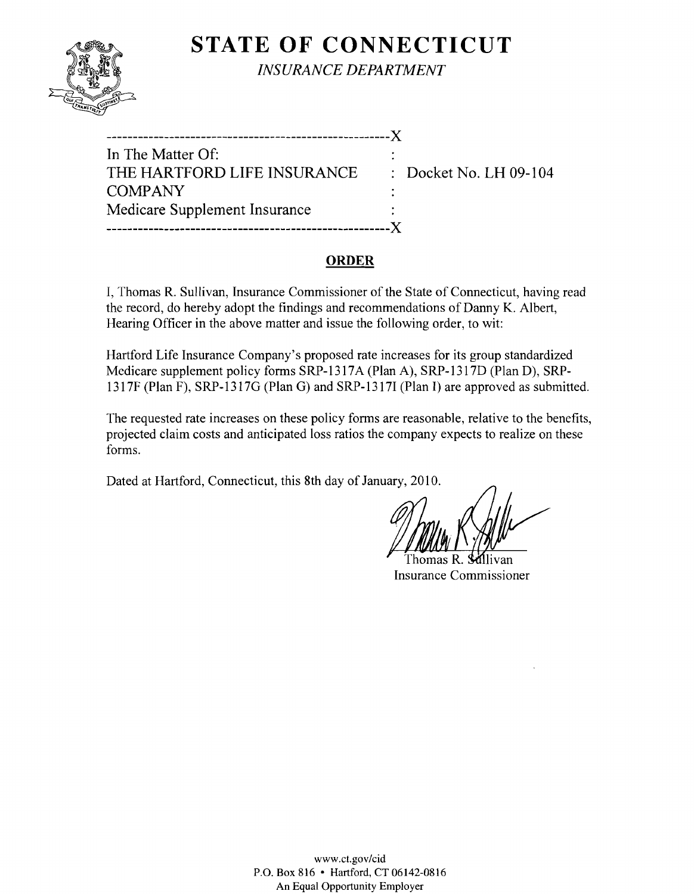

**STATE OF CONNECTICUT** 

*INSURANCE DEPARTMENT* 

| In The Matter Of:             |                                   |
|-------------------------------|-----------------------------------|
| THE HARTFORD LIFE INSURANCE   | $\therefore$ Docket No. LH 09-104 |
| <b>COMPANY</b>                |                                   |
| Medicare Supplement Insurance |                                   |
|                               |                                   |

#### **ORDER**

I, Thomas R. Sullivan, Insurance Commissioner of the State of Connecticut, having read the record, do hereby adopt the findings and recommendations of Danny K. Albert, Hearing Officer in the above matter and issue the following order, to wit:

Hartford Life Insurance Company's proposed rate increases for its group standardized Medicare supplement policy forms SRP-1317A (Plan A), SRP-1317D (Plan D), SRP-1317F (Plan F), SRP-1317G (Plan G) and SRP-1317I (Plan I) are approved as submitted.

The requested rate increases on these policy forms are reasonable, relative to the benefits, projected claim costs and anticipated loss ratios the company expects to realize on these forms.

Dated at Hartford, Connecticut, this 8th day of January, 2010.

Thomas R. **Si**illivan Insurance Commissioner

www.ct.gov/cid P.O. Box 816 • Hartford, CT 06142-0816 An Equal Opportunity Employer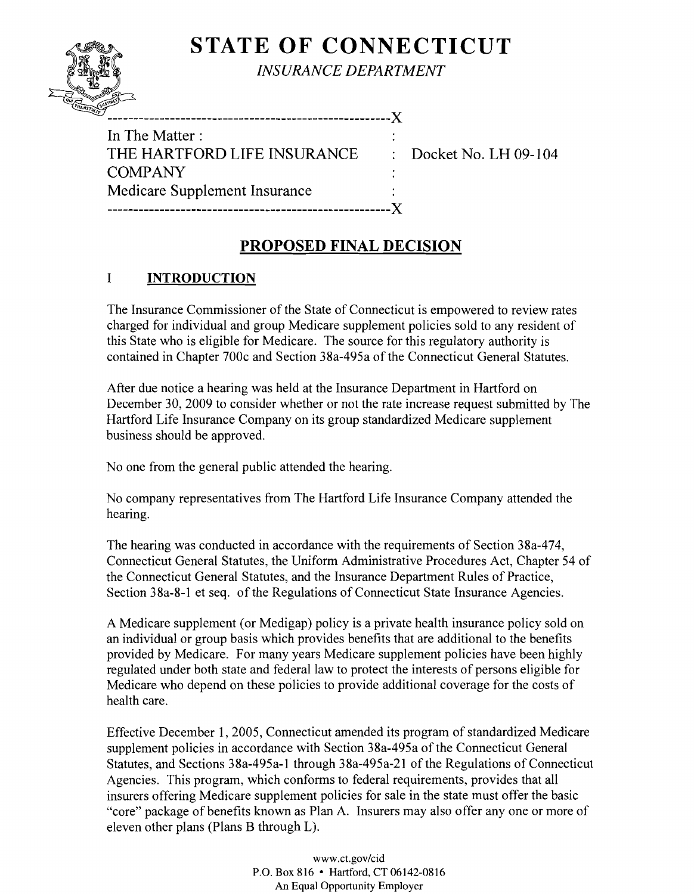# **STATE OF CONNECTICUT**



*INSURANCE DEPARTMENT* 

| In The Matter:                |  |
|-------------------------------|--|
| THE HARTFORD LIFE INSURANCE   |  |
| <b>COMPANY</b>                |  |
| Medicare Supplement Insurance |  |
|                               |  |

" ------------------------------------------------------)(

Docket No. LH 09-104

# **PROPOSED FINAL DECISION**

## I **INTRODUCTION**

The Insurance Commissioner of the State of Connecticut is empowered to review rates charged for individual and group Medicare supplement policies sold to any resident of this State who is eligible for Medicare. The source for this regulatory authority is contained in Chapter 700c and Section 38a-495a of the Connecticut General Statutes.

After due notice a hearing was held at the Insurance Department in Hartford on December 30, 2009 to consider whether or not the rate increase request submitted by The Hartford Life Insurance Company on its group standardized Medicare supplement business should be approved.

No one from the general public attended the hearing.

No company representatives from The Hartford Life Insurance Company attended the hearing.

The hearing was conducted in accordance with the requirements of Section 38a-474, Connecticut General Statutes, the Uniform Administrative Procedures Act, Chapter 54 of the Connecticut General Statutes, and the Insurance Department Rules of Practice, Section 38a-8-1 et seq. of the Regulations of Connecticut State Insurance Agencies.

A Medicare supplement (or Medigap) policy is a private health insurance policy sold on an individual or group basis which provides benefits that are additional to the benefits provided by Medicare. For many years Medicare supplement policies have been highly regulated under both state and federal law to protect the interests of persons eligible for Medicare who depend on these policies to provide additional coverage for the costs of health care.

Effective December 1, 2005, Connecticut amended its program of standardized Medicare supplement policies in accordance with Section 38a-495a of the Connecticut General Statutes, and Sections 38a-495a-1 through 38a-495a-21 of the Regulations of Connecticut Agencies. This program, which conforms to federal requirements, provides that all insurers offering Medicare supplement policies for sale in the state must offer the basic "core" package of benefits known as Plan A. Insurers may also offer anyone or more of eleven other plans (Plans B through L).

> www.ct.gov/cid P.O. Box 816 • Hartford, CT 06142-0816 An Equal Opportunity Employer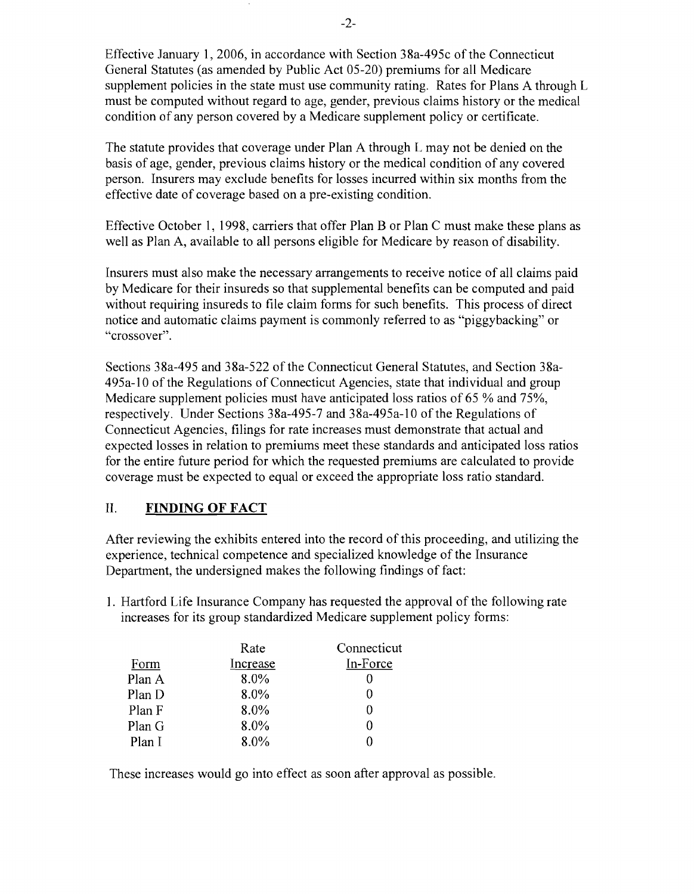Effective January 1,2006, in accordance with Section 38a-495c of the Connecticut General Statutes (as amended by Public Act 05-20) premiums for all Medicare supplement policies in the state must use community rating. Rates for Plans A through L must be computed without regard to age, gender, previous claims history or the medical condition of any person covered by a Medicare supplement policy or certificate.

The statute provides that coverage under Plan A through L may not be denied on the basis of age, gender, previous claims history or the medical condition of any covered person. Insurers may exclude benefits for losses incurred within six months from the effective date of coverage based on a pre-existing condition.

Effective October 1, 1998, carriers that offer Plan B or Plan C must make these plans as well as Plan A, available to all persons eligible for Medicare by reason of disability.

Insurers must also make the necessary arrangements to receive notice of all claims paid by Medicare for their insureds so that supplemental benefits can be computed and paid without requiring insureds to file claim forms for such benefits. This process of direct notice and automatic claims payment is commonly referred to as "piggybacking" or "crossover".

Sections 38a-495 and 38a-522 of the Connecticut General Statutes, and Section 38a-495a-l0 of the Regulations of Connecticut Agencies, state that individual and group Medicare supplement policies must have anticipated loss ratios of 65 % and 75%, respectively. Under Sections 38a-495-7 and 38a-495a-l0 of the Regulations of Connecticut Agencies, filings for rate increases must demonstrate that actual and expected losses in relation to premiums meet these standards and anticipated loss ratios for the entire future period for which the requested premiums are calculated to provide coverage must be expected to equal or exceed the appropriate loss ratio standard.

#### II. **FINDING OF FACT**

After reviewing the exhibits entered into the record of this proceeding, and utilizing the experience, technical competence and specialized knowledge of the Insurance Department, the undersigned makes the following findings of fact:

1. Hartford Life Insurance Company has requested the approval of the following rate increases for its group standardized Medicare supplement policy forms:

|        | Rate     | Connecticut |
|--------|----------|-------------|
| Form   | Increase | In-Force    |
| Plan A | 8.0%     |             |
| Plan D | 8.0%     |             |
| Plan F | 8.0%     |             |
| Plan G | $8.0\%$  |             |
| Plan I | $8.0\%$  |             |

These increases would go into effect as soon after approval as possible.